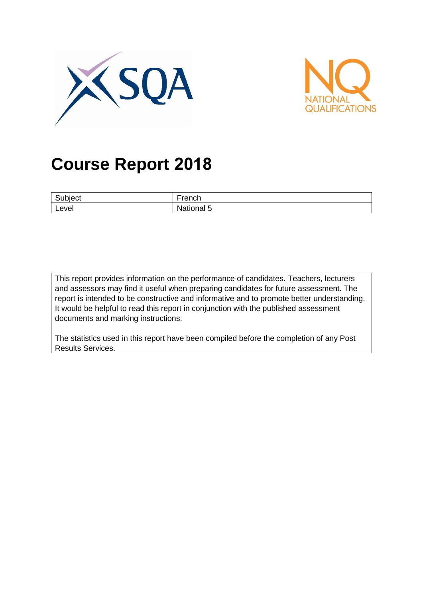



# **Course Report 2018**

| $\sim$<br>ubiect | $\overline{\phantom{0}}$<br>ronok<br>ויטו |
|------------------|-------------------------------------------|
| Level            | _<br>nal 5<br>ναιιοι                      |

This report provides information on the performance of candidates. Teachers, lecturers and assessors may find it useful when preparing candidates for future assessment. The report is intended to be constructive and informative and to promote better understanding. It would be helpful to read this report in conjunction with the published assessment documents and marking instructions.

The statistics used in this report have been compiled before the completion of any Post Results Services.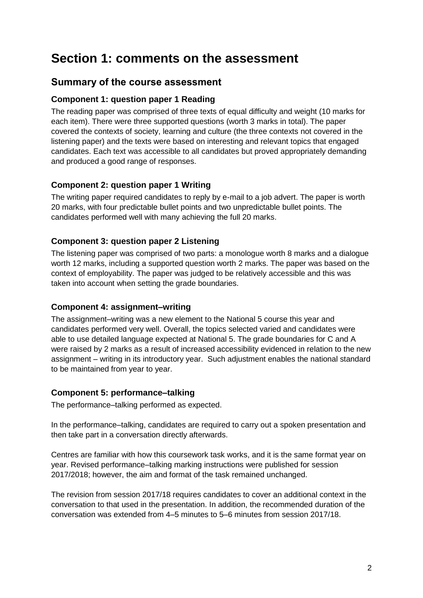# **Section 1: comments on the assessment**

### **Summary of the course assessment**

#### **Component 1: question paper 1 Reading**

The reading paper was comprised of three texts of equal difficulty and weight (10 marks for each item). There were three supported questions (worth 3 marks in total). The paper covered the contexts of society, learning and culture (the three contexts not covered in the listening paper) and the texts were based on interesting and relevant topics that engaged candidates. Each text was accessible to all candidates but proved appropriately demanding and produced a good range of responses.

#### **Component 2: question paper 1 Writing**

The writing paper required candidates to reply by e-mail to a job advert. The paper is worth 20 marks, with four predictable bullet points and two unpredictable bullet points. The candidates performed well with many achieving the full 20 marks.

#### **Component 3: question paper 2 Listening**

The listening paper was comprised of two parts: a monologue worth 8 marks and a dialogue worth 12 marks, including a supported question worth 2 marks. The paper was based on the context of employability. The paper was judged to be relatively accessible and this was taken into account when setting the grade boundaries.

#### **Component 4: assignment–writing**

The assignment–writing was a new element to the National 5 course this year and candidates performed very well. Overall, the topics selected varied and candidates were able to use detailed language expected at National 5. The grade boundaries for C and A were raised by 2 marks as a result of increased accessibility evidenced in relation to the new assignment – writing in its introductory year. Such adjustment enables the national standard to be maintained from year to year.

#### **Component 5: performance–talking**

The performance–talking performed as expected.

In the performance–talking, candidates are required to carry out a spoken presentation and then take part in a conversation directly afterwards.

Centres are familiar with how this coursework task works, and it is the same format year on year. Revised performance–talking marking instructions were published for session 2017/2018; however, the aim and format of the task remained unchanged.

The revision from session 2017/18 requires candidates to cover an additional context in the conversation to that used in the presentation. In addition, the recommended duration of the conversation was extended from 4–5 minutes to 5–6 minutes from session 2017/18.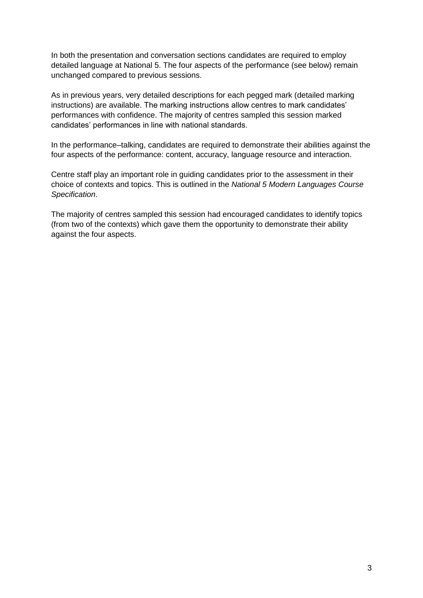In both the presentation and conversation sections candidates are required to employ detailed language at National 5. The four aspects of the performance (see below) remain unchanged compared to previous sessions.

As in previous years, very detailed descriptions for each pegged mark (detailed marking instructions) are available. The marking instructions allow centres to mark candidates' performances with confidence. The majority of centres sampled this session marked candidates' performances in line with national standards.

In the performance–talking, candidates are required to demonstrate their abilities against the four aspects of the performance: content, accuracy, language resource and interaction.

Centre staff play an important role in guiding candidates prior to the assessment in their choice of contexts and topics. This is outlined in the *National 5 Modern Languages Course Specification*.

The majority of centres sampled this session had encouraged candidates to identify topics (from two of the contexts) which gave them the opportunity to demonstrate their ability against the four aspects.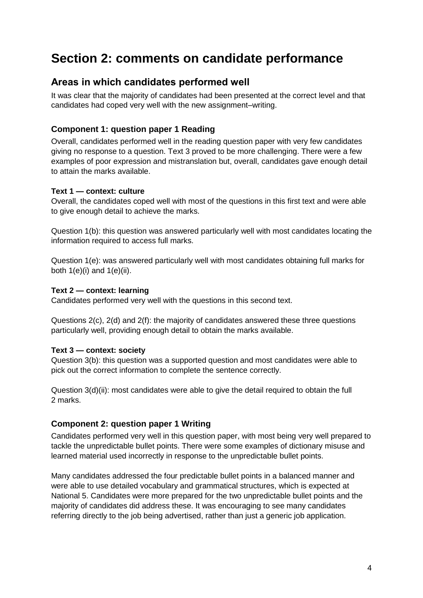# **Section 2: comments on candidate performance**

### **Areas in which candidates performed well**

It was clear that the majority of candidates had been presented at the correct level and that candidates had coped very well with the new assignment–writing.

#### **Component 1: question paper 1 Reading**

Overall, candidates performed well in the reading question paper with very few candidates giving no response to a question. Text 3 proved to be more challenging. There were a few examples of poor expression and mistranslation but, overall, candidates gave enough detail to attain the marks available.

#### **Text 1 — context: culture**

Overall, the candidates coped well with most of the questions in this first text and were able to give enough detail to achieve the marks.

Question 1(b): this question was answered particularly well with most candidates locating the information required to access full marks.

Question 1(e): was answered particularly well with most candidates obtaining full marks for both 1(e)(i) and 1(e)(ii).

#### **Text 2 — context: learning**

Candidates performed very well with the questions in this second text.

Questions 2(c), 2(d) and 2(f): the majority of candidates answered these three questions particularly well, providing enough detail to obtain the marks available.

#### **Text 3 — context: society**

Question 3(b): this question was a supported question and most candidates were able to pick out the correct information to complete the sentence correctly.

Question 3(d)(ii): most candidates were able to give the detail required to obtain the full 2 marks.

#### **Component 2: question paper 1 Writing**

Candidates performed very well in this question paper, with most being very well prepared to tackle the unpredictable bullet points. There were some examples of dictionary misuse and learned material used incorrectly in response to the unpredictable bullet points.

Many candidates addressed the four predictable bullet points in a balanced manner and were able to use detailed vocabulary and grammatical structures, which is expected at National 5. Candidates were more prepared for the two unpredictable bullet points and the majority of candidates did address these. It was encouraging to see many candidates referring directly to the job being advertised, rather than just a generic job application.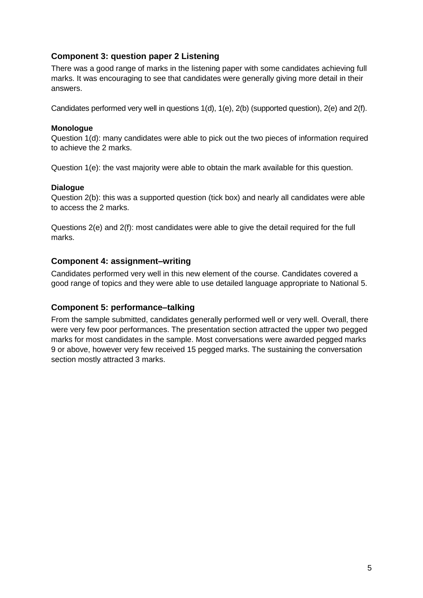#### **Component 3: question paper 2 Listening**

There was a good range of marks in the listening paper with some candidates achieving full marks. It was encouraging to see that candidates were generally giving more detail in their answers.

Candidates performed very well in questions 1(d), 1(e), 2(b) (supported question), 2(e) and 2(f).

#### **Monologue**

Question 1(d): many candidates were able to pick out the two pieces of information required to achieve the 2 marks.

Question 1(e): the vast majority were able to obtain the mark available for this question.

#### **Dialogue**

Question 2(b): this was a supported question (tick box) and nearly all candidates were able to access the 2 marks.

Questions 2(e) and 2(f): most candidates were able to give the detail required for the full marks.

#### **Component 4: assignment–writing**

Candidates performed very well in this new element of the course. Candidates covered a good range of topics and they were able to use detailed language appropriate to National 5.

#### **Component 5: performance–talking**

From the sample submitted, candidates generally performed well or very well. Overall, there were very few poor performances. The presentation section attracted the upper two pegged marks for most candidates in the sample. Most conversations were awarded pegged marks 9 or above, however very few received 15 pegged marks. The sustaining the conversation section mostly attracted 3 marks.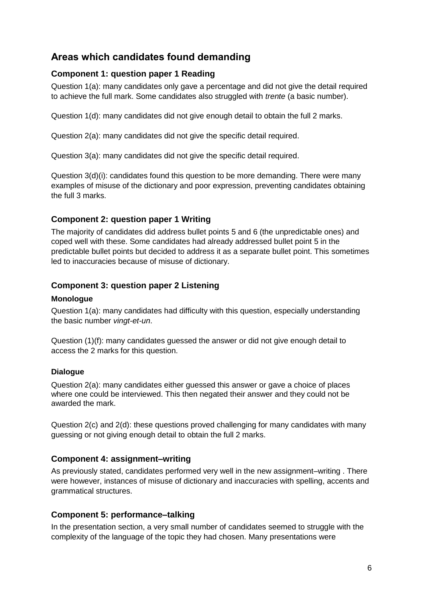## **Areas which candidates found demanding**

#### **Component 1: question paper 1 Reading**

Question 1(a): many candidates only gave a percentage and did not give the detail required to achieve the full mark. Some candidates also struggled with *trente* (a basic number).

Question 1(d): many candidates did not give enough detail to obtain the full 2 marks.

Question 2(a): many candidates did not give the specific detail required.

Question 3(a): many candidates did not give the specific detail required.

Question 3(d)(i): candidates found this question to be more demanding. There were many examples of misuse of the dictionary and poor expression, preventing candidates obtaining the full 3 marks.

#### **Component 2: question paper 1 Writing**

The majority of candidates did address bullet points 5 and 6 (the unpredictable ones) and coped well with these. Some candidates had already addressed bullet point 5 in the predictable bullet points but decided to address it as a separate bullet point. This sometimes led to inaccuracies because of misuse of dictionary.

#### **Component 3: question paper 2 Listening**

#### **Monologue**

Question 1(a): many candidates had difficulty with this question, especially understanding the basic number *vingt-et-un*.

Question (1)(f): many candidates guessed the answer or did not give enough detail to access the 2 marks for this question.

#### **Dialogue**

Question 2(a): many candidates either guessed this answer or gave a choice of places where one could be interviewed. This then negated their answer and they could not be awarded the mark.

Question 2(c) and 2(d): these questions proved challenging for many candidates with many guessing or not giving enough detail to obtain the full 2 marks.

#### **Component 4: assignment–writing**

As previously stated, candidates performed very well in the new assignment–writing . There were however, instances of misuse of dictionary and inaccuracies with spelling, accents and grammatical structures.

#### **Component 5: performance–talking**

In the presentation section, a very small number of candidates seemed to struggle with the complexity of the language of the topic they had chosen. Many presentations were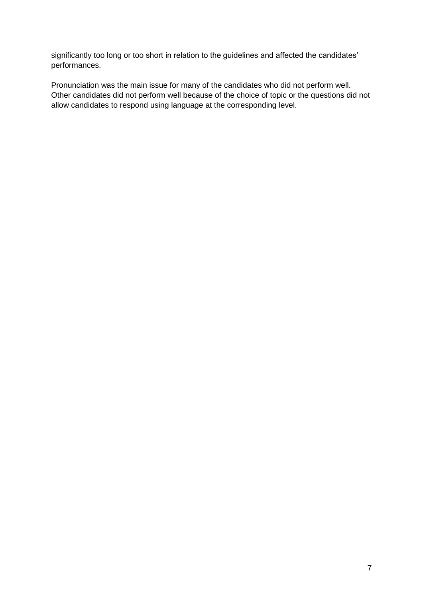significantly too long or too short in relation to the guidelines and affected the candidates' performances.

Pronunciation was the main issue for many of the candidates who did not perform well. Other candidates did not perform well because of the choice of topic or the questions did not allow candidates to respond using language at the corresponding level.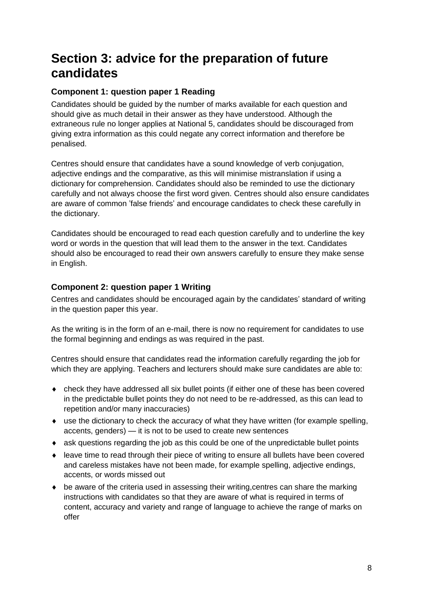# **Section 3: advice for the preparation of future candidates**

#### **Component 1: question paper 1 Reading**

Candidates should be guided by the number of marks available for each question and should give as much detail in their answer as they have understood. Although the extraneous rule no longer applies at National 5, candidates should be discouraged from giving extra information as this could negate any correct information and therefore be penalised.

Centres should ensure that candidates have a sound knowledge of verb conjugation, adjective endings and the comparative, as this will minimise mistranslation if using a dictionary for comprehension. Candidates should also be reminded to use the dictionary carefully and not always choose the first word given. Centres should also ensure candidates are aware of common 'false friends' and encourage candidates to check these carefully in the dictionary.

Candidates should be encouraged to read each question carefully and to underline the key word or words in the question that will lead them to the answer in the text. Candidates should also be encouraged to read their own answers carefully to ensure they make sense in English.

#### **Component 2: question paper 1 Writing**

Centres and candidates should be encouraged again by the candidates' standard of writing in the question paper this year.

As the writing is in the form of an e-mail, there is now no requirement for candidates to use the formal beginning and endings as was required in the past.

Centres should ensure that candidates read the information carefully regarding the job for which they are applying. Teachers and lecturers should make sure candidates are able to:

- check they have addressed all six bullet points (if either one of these has been covered in the predictable bullet points they do not need to be re-addressed, as this can lead to repetition and/or many inaccuracies)
- use the dictionary to check the accuracy of what they have written (for example spelling, accents, genders) — it is not to be used to create new sentences
- ask questions regarding the job as this could be one of the unpredictable bullet points
- leave time to read through their piece of writing to ensure all bullets have been covered and careless mistakes have not been made, for example spelling, adjective endings, accents, or words missed out
- $\bullet$  be aware of the criteria used in assessing their writing, centres can share the marking instructions with candidates so that they are aware of what is required in terms of content, accuracy and variety and range of language to achieve the range of marks on offer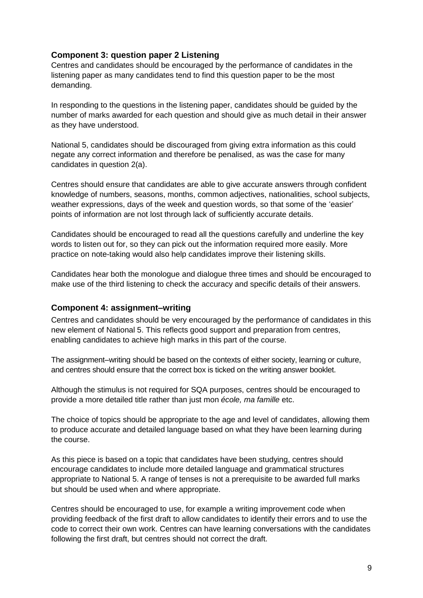#### **Component 3: question paper 2 Listening**

Centres and candidates should be encouraged by the performance of candidates in the listening paper as many candidates tend to find this question paper to be the most demanding.

In responding to the questions in the listening paper, candidates should be guided by the number of marks awarded for each question and should give as much detail in their answer as they have understood.

National 5, candidates should be discouraged from giving extra information as this could negate any correct information and therefore be penalised, as was the case for many candidates in question 2(a).

Centres should ensure that candidates are able to give accurate answers through confident knowledge of numbers, seasons, months, common adjectives, nationalities, school subjects, weather expressions, days of the week and question words, so that some of the 'easier' points of information are not lost through lack of sufficiently accurate details.

Candidates should be encouraged to read all the questions carefully and underline the key words to listen out for, so they can pick out the information required more easily. More practice on note-taking would also help candidates improve their listening skills.

Candidates hear both the monologue and dialogue three times and should be encouraged to make use of the third listening to check the accuracy and specific details of their answers.

#### **Component 4: assignment–writing**

Centres and candidates should be very encouraged by the performance of candidates in this new element of National 5. This reflects good support and preparation from centres, enabling candidates to achieve high marks in this part of the course.

The assignment–writing should be based on the contexts of either society, learning or culture, and centres should ensure that the correct box is ticked on the writing answer booklet.

Although the stimulus is not required for SQA purposes, centres should be encouraged to provide a more detailed title rather than just mon *école, ma famille* etc.

The choice of topics should be appropriate to the age and level of candidates, allowing them to produce accurate and detailed language based on what they have been learning during the course.

As this piece is based on a topic that candidates have been studying, centres should encourage candidates to include more detailed language and grammatical structures appropriate to National 5. A range of tenses is not a prerequisite to be awarded full marks but should be used when and where appropriate.

Centres should be encouraged to use, for example a writing improvement code when providing feedback of the first draft to allow candidates to identify their errors and to use the code to correct their own work. Centres can have learning conversations with the candidates following the first draft, but centres should not correct the draft.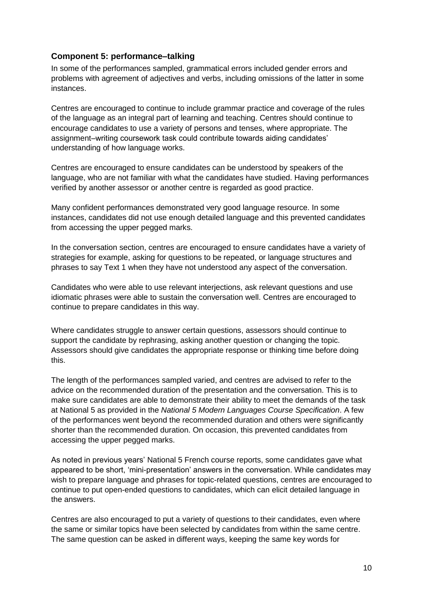#### **Component 5: performance–talking**

In some of the performances sampled, grammatical errors included gender errors and problems with agreement of adjectives and verbs, including omissions of the latter in some instances.

Centres are encouraged to continue to include grammar practice and coverage of the rules of the language as an integral part of learning and teaching. Centres should continue to encourage candidates to use a variety of persons and tenses, where appropriate. The assignment–writing coursework task could contribute towards aiding candidates' understanding of how language works.

Centres are encouraged to ensure candidates can be understood by speakers of the language, who are not familiar with what the candidates have studied. Having performances verified by another assessor or another centre is regarded as good practice.

Many confident performances demonstrated very good language resource. In some instances, candidates did not use enough detailed language and this prevented candidates from accessing the upper pegged marks.

In the conversation section, centres are encouraged to ensure candidates have a variety of strategies for example, asking for questions to be repeated, or language structures and phrases to say Text 1 when they have not understood any aspect of the conversation.

Candidates who were able to use relevant interjections, ask relevant questions and use idiomatic phrases were able to sustain the conversation well. Centres are encouraged to continue to prepare candidates in this way.

Where candidates struggle to answer certain questions, assessors should continue to support the candidate by rephrasing, asking another question or changing the topic. Assessors should give candidates the appropriate response or thinking time before doing this.

The length of the performances sampled varied, and centres are advised to refer to the advice on the recommended duration of the presentation and the conversation. This is to make sure candidates are able to demonstrate their ability to meet the demands of the task at National 5 as provided in the *National 5 Modern Languages Course Specification*. A few of the performances went beyond the recommended duration and others were significantly shorter than the recommended duration. On occasion, this prevented candidates from accessing the upper pegged marks.

As noted in previous years' National 5 French course reports, some candidates gave what appeared to be short, 'mini-presentation' answers in the conversation. While candidates may wish to prepare language and phrases for topic-related questions, centres are encouraged to continue to put open-ended questions to candidates, which can elicit detailed language in the answers.

Centres are also encouraged to put a variety of questions to their candidates, even where the same or similar topics have been selected by candidates from within the same centre. The same question can be asked in different ways, keeping the same key words for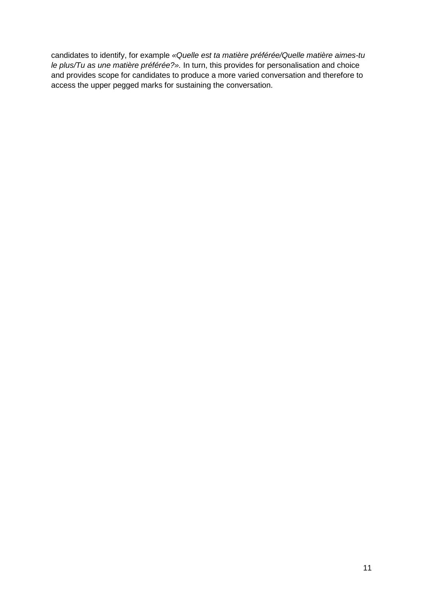candidates to identify, for example *«Quelle est ta matière préférée/Quelle matière aimes-tu le plus/Tu as une matière préférée?».* In turn, this provides for personalisation and choice and provides scope for candidates to produce a more varied conversation and therefore to access the upper pegged marks for sustaining the conversation.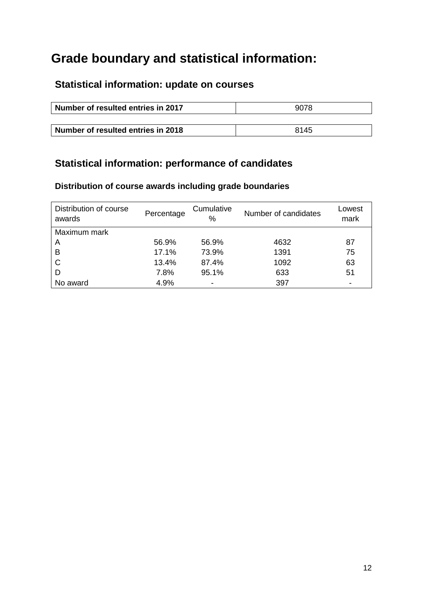# **Grade boundary and statistical information:**

# **Statistical information: update on courses**

| Number of resulted entries in 2017 | 9078 |
|------------------------------------|------|
|                                    |      |
| Number of resulted entries in 2018 | 8145 |

# **Statistical information: performance of candidates**

### **Distribution of course awards including grade boundaries**

| Distribution of course<br>awards | Percentage | Cumulative<br>℅          | Number of candidates | Lowest<br>mark           |
|----------------------------------|------------|--------------------------|----------------------|--------------------------|
| Maximum mark                     |            |                          |                      |                          |
| A                                | 56.9%      | 56.9%                    | 4632                 | 87                       |
| B                                | 17.1%      | 73.9%                    | 1391                 | 75                       |
| C                                | 13.4%      | 87.4%                    | 1092                 | 63                       |
| D                                | 7.8%       | 95.1%                    | 633                  | 51                       |
| No award                         | 4.9%       | $\overline{\phantom{a}}$ | 397                  | $\overline{\phantom{0}}$ |